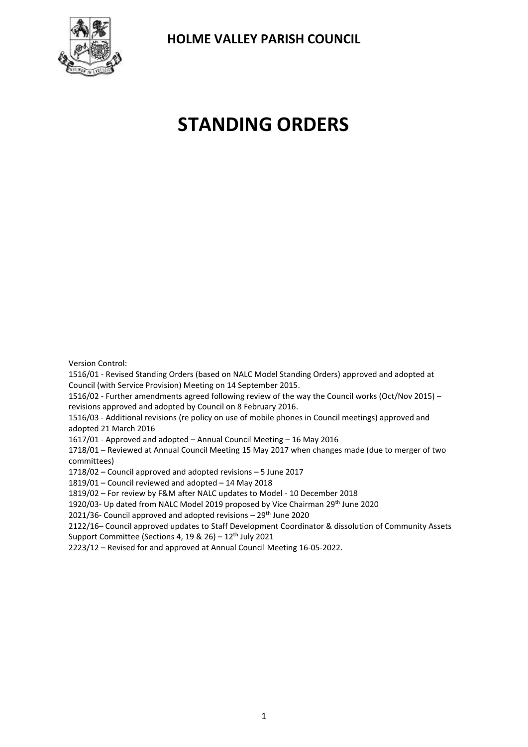

# **STANDING ORDERS**

Version Control:

1516/01 - Revised Standing Orders (based on NALC Model Standing Orders) approved and adopted at Council (with Service Provision) Meeting on 14 September 2015.

1516/02 - Further amendments agreed following review of the way the Council works (Oct/Nov 2015) – revisions approved and adopted by Council on 8 February 2016.

1516/03 - Additional revisions (re policy on use of mobile phones in Council meetings) approved and adopted 21 March 2016

1617/01 - Approved and adopted – Annual Council Meeting – 16 May 2016

1718/01 – Reviewed at Annual Council Meeting 15 May 2017 when changes made (due to merger of two committees)

1718/02 – Council approved and adopted revisions – 5 June 2017

1819/01 – Council reviewed and adopted – 14 May 2018

1819/02 – For review by F&M after NALC updates to Model - 10 December 2018

1920/03- Up dated from NALC Model 2019 proposed by Vice Chairman 29th June 2020

2021/36- Council approved and adopted revisions  $-29<sup>th</sup>$  June 2020

2122/16– Council approved updates to Staff Development Coordinator & dissolution of Community Assets Support Committee (Sections 4, 19 & 26) –  $12<sup>th</sup>$  July 2021

2223/12 – Revised for and approved at Annual Council Meeting 16-05-2022.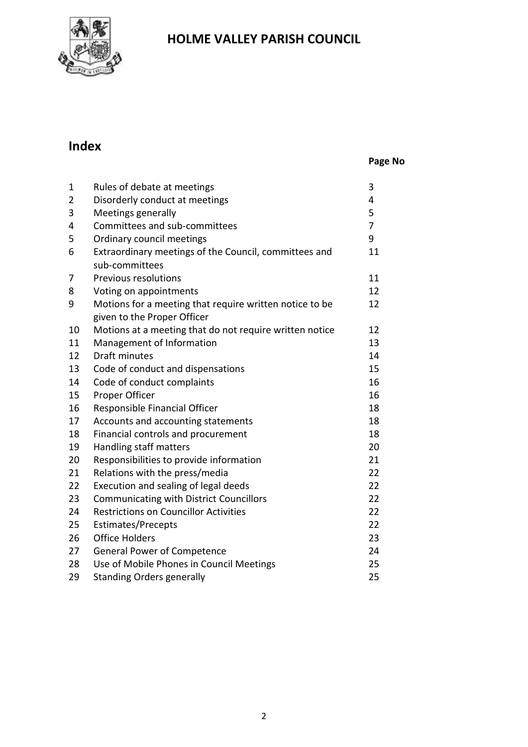

## **Index**

#### **Page No**

| $\mathbf 1$ | Rules of debate at meetings                                                            | 3              |
|-------------|----------------------------------------------------------------------------------------|----------------|
| 2           | Disorderly conduct at meetings                                                         | 4              |
| 3           | Meetings generally                                                                     | 5              |
| 4           | Committees and sub-committees                                                          | $\overline{7}$ |
| 5           | Ordinary council meetings                                                              | 9              |
| 6           | Extraordinary meetings of the Council, committees and<br>sub-committees                | 11             |
| 7           | <b>Previous resolutions</b>                                                            | 11             |
| 8           | Voting on appointments                                                                 | 12             |
| 9           | Motions for a meeting that require written notice to be<br>given to the Proper Officer | 12             |
| 10          | Motions at a meeting that do not require written notice                                | 12             |
| 11          | Management of Information                                                              | 13             |
| 12          | Draft minutes                                                                          | 14             |
| 13          | Code of conduct and dispensations                                                      | 15             |
| 14          | Code of conduct complaints                                                             | 16             |
| 15          | Proper Officer                                                                         | 16             |
| 16          | Responsible Financial Officer                                                          | 18             |
| 17          | Accounts and accounting statements                                                     | 18             |
| 18          | Financial controls and procurement                                                     | 18             |
| 19          | Handling staff matters                                                                 | 20             |
| 20          | Responsibilities to provide information                                                | 21             |
| 21          | Relations with the press/media                                                         | 22             |
| 22          | Execution and sealing of legal deeds                                                   | 22             |
| 23          | <b>Communicating with District Councillors</b>                                         | 22             |
| 24          | <b>Restrictions on Councillor Activities</b>                                           | 22             |
| 25          | <b>Estimates/Precepts</b>                                                              | 22             |
| 26          | <b>Office Holders</b>                                                                  | 23             |
| 27          | <b>General Power of Competence</b>                                                     | 24             |
| 28          | Use of Mobile Phones in Council Meetings                                               | 25             |
| 29          | <b>Standing Orders generally</b>                                                       | 25             |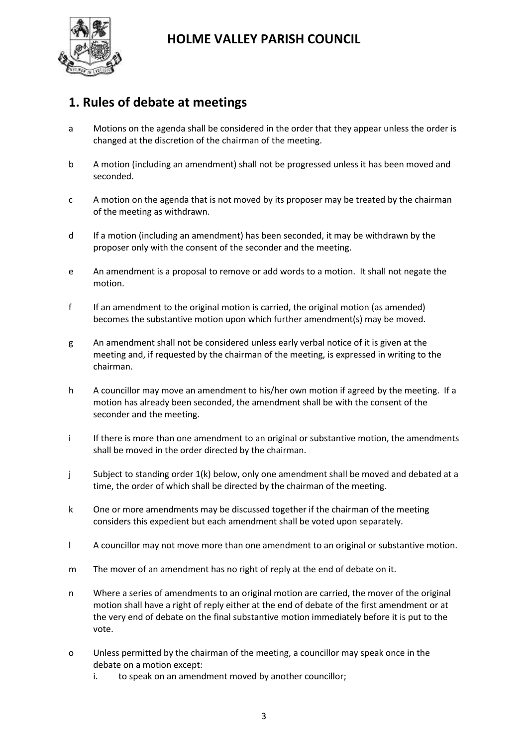

#### **1. Rules of debate at meetings**

- a Motions on the agenda shall be considered in the order that they appear unless the order is changed at the discretion of the chairman of the meeting.
- b A motion (including an amendment) shall not be progressed unless it has been moved and seconded.
- c A motion on the agenda that is not moved by its proposer may be treated by the chairman of the meeting as withdrawn.
- d If a motion (including an amendment) has been seconded, it may be withdrawn by the proposer only with the consent of the seconder and the meeting.
- e An amendment is a proposal to remove or add words to a motion. It shall not negate the motion.
- f If an amendment to the original motion is carried, the original motion (as amended) becomes the substantive motion upon which further amendment(s) may be moved.
- g An amendment shall not be considered unless early verbal notice of it is given at the meeting and, if requested by the chairman of the meeting, is expressed in writing to the chairman.
- h A councillor may move an amendment to his/her own motion if agreed by the meeting. If a motion has already been seconded, the amendment shall be with the consent of the seconder and the meeting.
- i If there is more than one amendment to an original or substantive motion, the amendments shall be moved in the order directed by the chairman.
- j Subject to standing order 1(k) below, only one amendment shall be moved and debated at a time, the order of which shall be directed by the chairman of the meeting.
- k One or more amendments may be discussed together if the chairman of the meeting considers this expedient but each amendment shall be voted upon separately.
- l A councillor may not move more than one amendment to an original or substantive motion.
- m The mover of an amendment has no right of reply at the end of debate on it.
- n Where a series of amendments to an original motion are carried, the mover of the original motion shall have a right of reply either at the end of debate of the first amendment or at the very end of debate on the final substantive motion immediately before it is put to the vote.
- o Unless permitted by the chairman of the meeting, a councillor may speak once in the debate on a motion except:
	- i. to speak on an amendment moved by another councillor;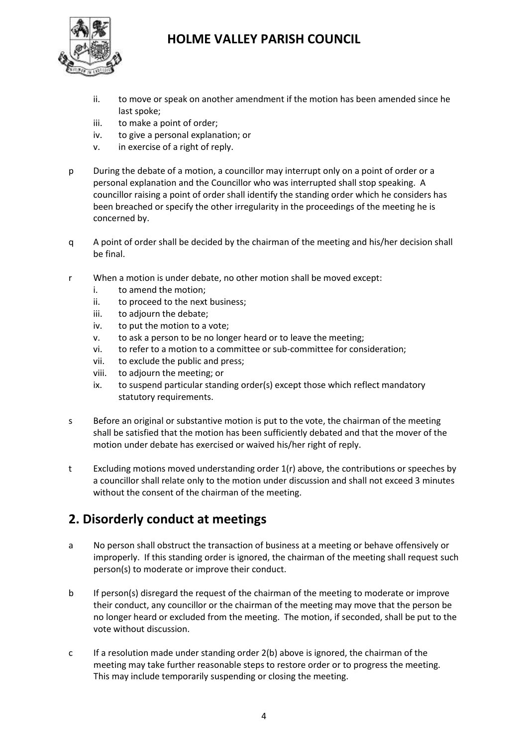

- ii. to move or speak on another amendment if the motion has been amended since he last spoke;
- iii. to make a point of order;
- iv. to give a personal explanation; or
- v. in exercise of a right of reply.
- p During the debate of a motion, a councillor may interrupt only on a point of order or a personal explanation and the Councillor who was interrupted shall stop speaking. A councillor raising a point of order shall identify the standing order which he considers has been breached or specify the other irregularity in the proceedings of the meeting he is concerned by.
- q A point of order shall be decided by the chairman of the meeting and his/her decision shall be final.
- r When a motion is under debate, no other motion shall be moved except:
	- i. to amend the motion;
	- ii. to proceed to the next business;
	- iii. to adjourn the debate;
	- iv. to put the motion to a vote;
	- v. to ask a person to be no longer heard or to leave the meeting;
	- vi. to refer to a motion to a committee or sub-committee for consideration;
	- vii. to exclude the public and press;
	- viii. to adjourn the meeting; or
	- ix. to suspend particular standing order(s) except those which reflect mandatory statutory requirements.
- s Before an original or substantive motion is put to the vote, the chairman of the meeting shall be satisfied that the motion has been sufficiently debated and that the mover of the motion under debate has exercised or waived his/her right of reply.
- t Excluding motions moved understanding order 1(r) above, the contributions or speeches by a councillor shall relate only to the motion under discussion and shall not exceed 3 minutes without the consent of the chairman of the meeting.

#### **2. Disorderly conduct at meetings**

- a No person shall obstruct the transaction of business at a meeting or behave offensively or improperly. If this standing order is ignored, the chairman of the meeting shall request such person(s) to moderate or improve their conduct.
- b If person(s) disregard the request of the chairman of the meeting to moderate or improve their conduct, any councillor or the chairman of the meeting may move that the person be no longer heard or excluded from the meeting. The motion, if seconded, shall be put to the vote without discussion.
- c If a resolution made under standing order 2(b) above is ignored, the chairman of the meeting may take further reasonable steps to restore order or to progress the meeting. This may include temporarily suspending or closing the meeting.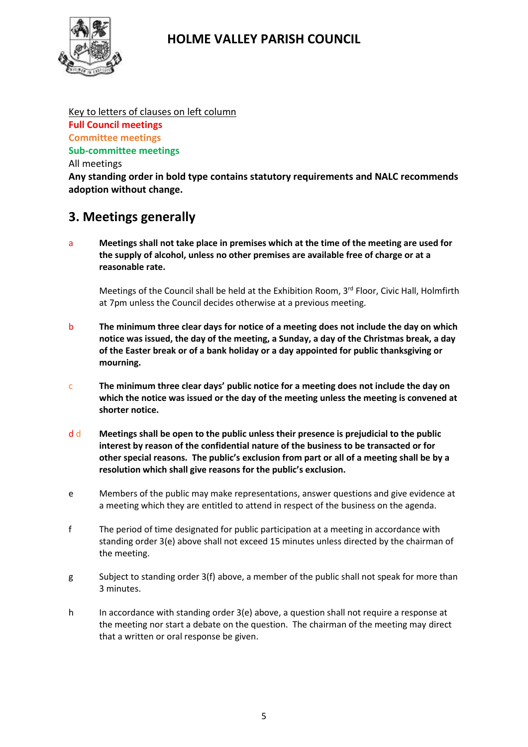Key to letters of clauses on left column **Full Council meetings Committee meetings Sub-committee meetings** All meetings **Any standing order in bold type contains statutory requirements and NALC recommends adoption without change.** 

#### **3. Meetings generally**

a **Meetings shall not take place in premises which at the time of the meeting are used for the supply of alcohol, unless no other premises are available free of charge or at a reasonable rate.** 

Meetings of the Council shall be held at the Exhibition Room, 3<sup>rd</sup> Floor, Civic Hall, Holmfirth at 7pm unless the Council decides otherwise at a previous meeting.

- b **The minimum three clear days for notice of a meeting does not include the day on which notice was issued, the day of the meeting, a Sunday, a day of the Christmas break, a day of the Easter break or of a bank holiday or a day appointed for public thanksgiving or mourning.**
- c **The minimum three clear days' public notice for a meeting does not include the day on which the notice was issued or the day of the meeting unless the meeting is convened at shorter notice.**
- d d **Meetings shall be open to the public unless their presence is prejudicial to the public interest by reason of the confidential nature of the business to be transacted or for other special reasons. The public's exclusion from part or all of a meeting shall be by a resolution which shall give reasons for the public's exclusion.**
- e Members of the public may make representations, answer questions and give evidence at a meeting which they are entitled to attend in respect of the business on the agenda.
- f The period of time designated for public participation at a meeting in accordance with standing order 3(e) above shall not exceed 15 minutes unless directed by the chairman of the meeting.
- g Subject to standing order 3(f) above, a member of the public shall not speak for more than 3 minutes.
- h In accordance with standing order 3(e) above, a question shall not require a response at the meeting nor start a debate on the question. The chairman of the meeting may direct that a written or oral response be given.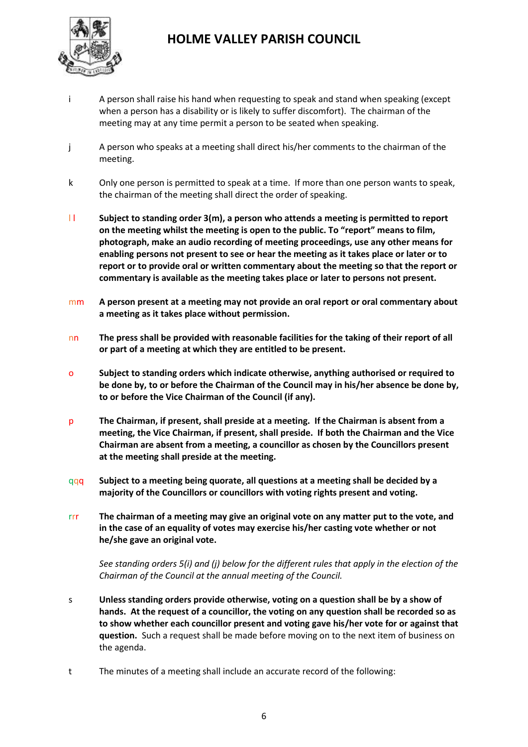

- i A person shall raise his hand when requesting to speak and stand when speaking (except when a person has a disability or is likely to suffer discomfort). The chairman of the meeting may at any time permit a person to be seated when speaking.
- j A person who speaks at a meeting shall direct his/her comments to the chairman of the meeting.
- k Only one person is permitted to speak at a time. If more than one person wants to speak, the chairman of the meeting shall direct the order of speaking.
- **II** Subject to standing order 3(m), a person who attends a meeting is permitted to report **on the meeting whilst the meeting is open to the public. To "report" means to film, photograph, make an audio recording of meeting proceedings, use any other means for enabling persons not present to see or hear the meeting as it takes place or later or to report or to provide oral or written commentary about the meeting so that the report or commentary is available as the meeting takes place or later to persons not present.**
- mm **A person present at a meeting may not provide an oral report or oral commentary about a meeting as it takes place without permission.**
- nn **The press shall be provided with reasonable facilities for the taking of their report of all or part of a meeting at which they are entitled to be present.**
- o **Subject to standing orders which indicate otherwise, anything authorised or required to be done by, to or before the Chairman of the Council may in his/her absence be done by, to or before the Vice Chairman of the Council (if any).**
- p **The Chairman, if present, shall preside at a meeting. If the Chairman is absent from a meeting, the Vice Chairman, if present, shall preside. If both the Chairman and the Vice Chairman are absent from a meeting, a councillor as chosen by the Councillors present at the meeting shall preside at the meeting.**
- qqq **Subject to a meeting being quorate, all questions at a meeting shall be decided by a majority of the Councillors or councillors with voting rights present and voting.**
- rrr **The chairman of a meeting may give an original vote on any matter put to the vote, and in the case of an equality of votes may exercise his/her casting vote whether or not he/she gave an original vote.**

*See standing orders 5(i) and (j) below for the different rules that apply in the election of the Chairman of the Council at the annual meeting of the Council.*

- s **Unless standing orders provide otherwise, voting on a question shall be by a show of hands. At the request of a councillor, the voting on any question shall be recorded so as to show whether each councillor present and voting gave his/her vote for or against that question.** Such a request shall be made before moving on to the next item of business on the agenda.
- t The minutes of a meeting shall include an accurate record of the following: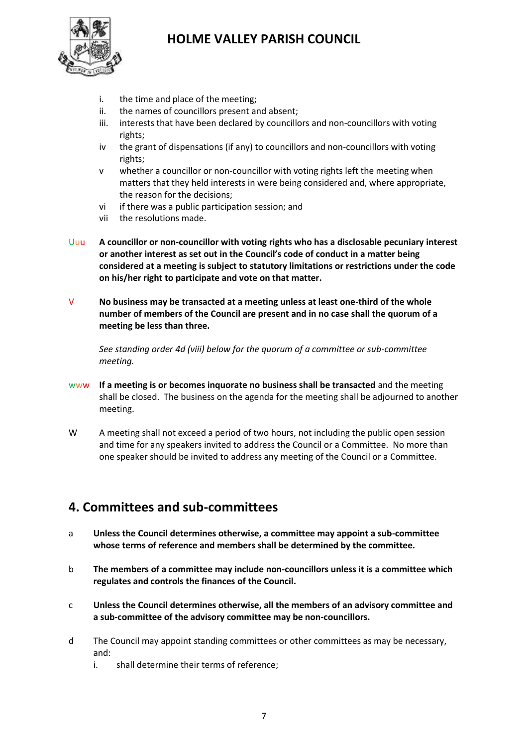

- i. the time and place of the meeting;
- ii. the names of councillors present and absent;
- iii. interests that have been declared by councillors and non-councillors with voting rights;
- iv the grant of dispensations (if any) to councillors and non-councillors with voting rights;
- v whether a councillor or non-councillor with voting rights left the meeting when matters that they held interests in were being considered and, where appropriate, the reason for the decisions;
- vi if there was a public participation session; and
- vii the resolutions made.
- Uuu **A councillor or non-councillor with voting rights who has a disclosable pecuniary interest or another interest as set out in the Council's code of conduct in a matter being considered at a meeting is subject to statutory limitations or restrictions under the code on his/her right to participate and vote on that matter.**
- V **No business may be transacted at a meeting unless at least one-third of the whole number of members of the Council are present and in no case shall the quorum of a meeting be less than three.**

*See standing order 4d (viii) below for the quorum of a committee or sub-committee meeting.*

- www **If a meeting is or becomes inquorate no business shall be transacted** and the meeting shall be closed. The business on the agenda for the meeting shall be adjourned to another meeting.
- W A meeting shall not exceed a period of two hours, not including the public open session and time for any speakers invited to address the Council or a Committee. No more than one speaker should be invited to address any meeting of the Council or a Committee.

#### **4. Committees and sub-committees**

- a **Unless the Council determines otherwise, a committee may appoint a sub-committee whose terms of reference and members shall be determined by the committee.**
- b **The members of a committee may include non-councillors unless it is a committee which regulates and controls the finances of the Council.**
- c **Unless the Council determines otherwise, all the members of an advisory committee and a sub-committee of the advisory committee may be non-councillors.**
- d The Council may appoint standing committees or other committees as may be necessary, and:
	- i. shall determine their terms of reference;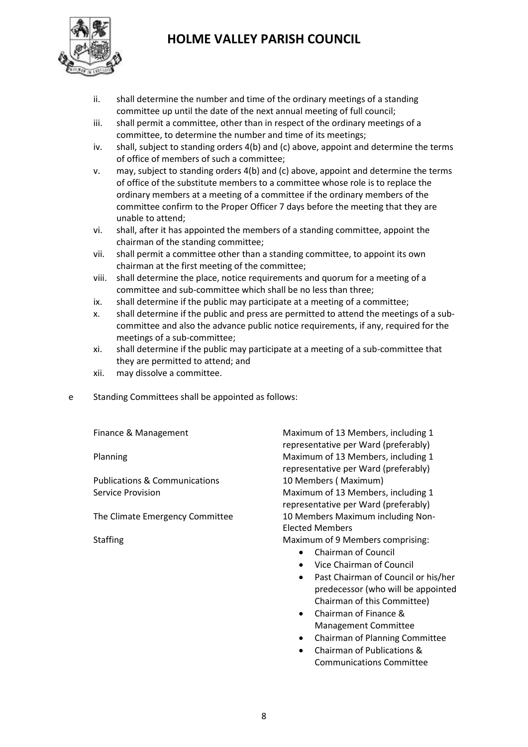

- ii. shall determine the number and time of the ordinary meetings of a standing committee up until the date of the next annual meeting of full council;
- iii. shall permit a committee, other than in respect of the ordinary meetings of a committee, to determine the number and time of its meetings;
- iv. shall, subject to standing orders 4(b) and (c) above, appoint and determine the terms of office of members of such a committee;
- v. may, subject to standing orders 4(b) and (c) above, appoint and determine the terms of office of the substitute members to a committee whose role is to replace the ordinary members at a meeting of a committee if the ordinary members of the committee confirm to the Proper Officer 7 days before the meeting that they are unable to attend;
- vi. shall, after it has appointed the members of a standing committee, appoint the chairman of the standing committee;
- vii. shall permit a committee other than a standing committee, to appoint its own chairman at the first meeting of the committee;
- viii. shall determine the place, notice requirements and quorum for a meeting of a committee and sub-committee which shall be no less than three;
- ix. shall determine if the public may participate at a meeting of a committee;
- x. shall determine if the public and press are permitted to attend the meetings of a subcommittee and also the advance public notice requirements, if any, required for the meetings of a sub-committee;
- xi. shall determine if the public may participate at a meeting of a sub-committee that they are permitted to attend; and
- xii. may dissolve a committee.
- e Standing Committees shall be appointed as follows:

Publications & Communications 10 Members (Maximum)

Finance & Management **Maximum of 13 Members, including 1** representative per Ward (preferably) Planning **Maximum of 13 Members, including 1** Maximum of 13 Members, including 1 representative per Ward (preferably) Service Provision Maximum of 13 Members, including 1 representative per Ward (preferably) The Climate Emergency Committee 10 Members Maximum including Non-Elected Members

Staffing **Maximum of 9 Members comprising:** 

- Chairman of Council
- Vice Chairman of Council
- Past Chairman of Council or his/her predecessor (who will be appointed Chairman of this Committee)
- Chairman of Finance & Management Committee
- Chairman of Planning Committee
- Chairman of Publications & Communications Committee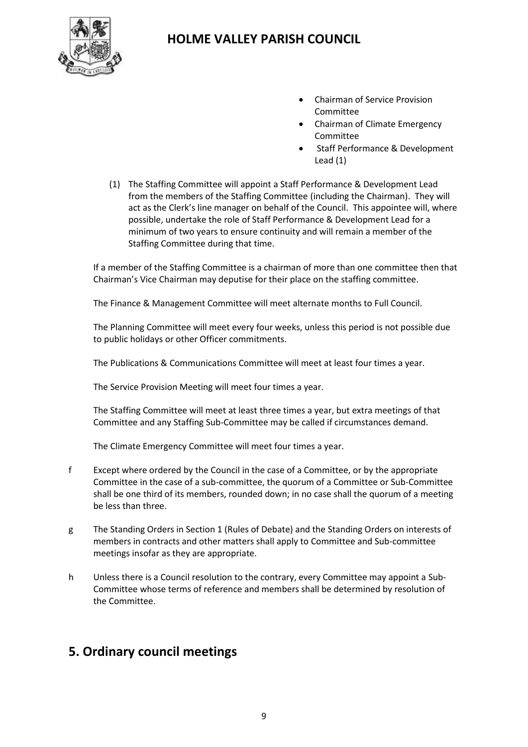

- Chairman of Service Provision Committee
- Chairman of Climate Emergency Committee
- Staff Performance & Development Lead (1)
- (1) The Staffing Committee will appoint a Staff Performance & Development Lead from the members of the Staffing Committee (including the Chairman). They will act as the Clerk's line manager on behalf of the Council. This appointee will, where possible, undertake the role of Staff Performance & Development Lead for a minimum of two years to ensure continuity and will remain a member of the Staffing Committee during that time.

If a member of the Staffing Committee is a chairman of more than one committee then that Chairman's Vice Chairman may deputise for their place on the staffing committee.

The Finance & Management Committee will meet alternate months to Full Council.

The Planning Committee will meet every four weeks, unless this period is not possible due to public holidays or other Officer commitments.

The Publications & Communications Committee will meet at least four times a year.

The Service Provision Meeting will meet four times a year.

The Staffing Committee will meet at least three times a year, but extra meetings of that Committee and any Staffing Sub-Committee may be called if circumstances demand.

The Climate Emergency Committee will meet four times a year.

- f Except where ordered by the Council in the case of a Committee, or by the appropriate Committee in the case of a sub-committee, the quorum of a Committee or Sub-Committee shall be one third of its members, rounded down; in no case shall the quorum of a meeting be less than three.
- g The Standing Orders in Section 1 (Rules of Debate) and the Standing Orders on interests of members in contracts and other matters shall apply to Committee and Sub-committee meetings insofar as they are appropriate.
- h Unless there is a Council resolution to the contrary, every Committee may appoint a Sub-Committee whose terms of reference and members shall be determined by resolution of the Committee.

#### **5. Ordinary council meetings**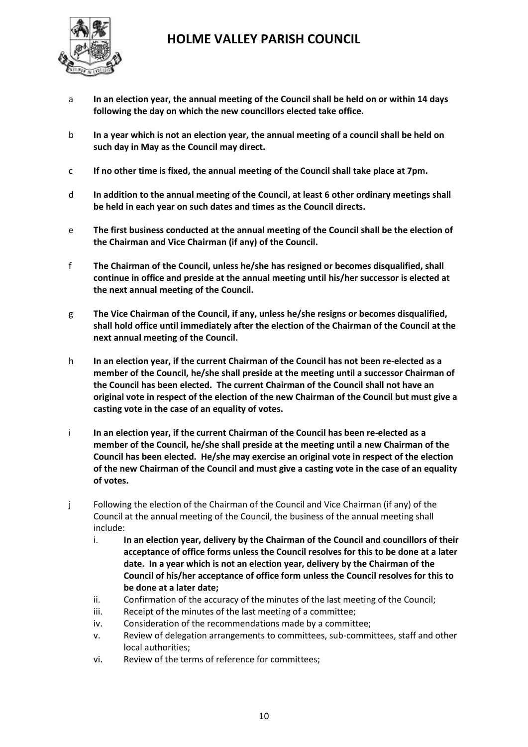

- a **In an election year, the annual meeting of the Council shall be held on or within 14 days following the day on which the new councillors elected take office.**
- b **In a year which is not an election year, the annual meeting of a council shall be held on such day in May as the Council may direct.**
- c **If no other time is fixed, the annual meeting of the Council shall take place at 7pm.**
- d **In addition to the annual meeting of the Council, at least 6 other ordinary meetings shall be held in each year on such dates and times as the Council directs.**
- e **The first business conducted at the annual meeting of the Council shall be the election of the Chairman and Vice Chairman (if any) of the Council.**
- f **The Chairman of the Council, unless he/she has resigned or becomes disqualified, shall continue in office and preside at the annual meeting until his/her successor is elected at the next annual meeting of the Council.**
- g **The Vice Chairman of the Council, if any, unless he/she resigns or becomes disqualified, shall hold office until immediately after the election of the Chairman of the Council at the next annual meeting of the Council.**
- h **In an election year, if the current Chairman of the Council has not been re-elected as a member of the Council, he/she shall preside at the meeting until a successor Chairman of the Council has been elected. The current Chairman of the Council shall not have an original vote in respect of the election of the new Chairman of the Council but must give a casting vote in the case of an equality of votes.**
- i **In an election year, if the current Chairman of the Council has been re-elected as a member of the Council, he/she shall preside at the meeting until a new Chairman of the Council has been elected. He/she may exercise an original vote in respect of the election of the new Chairman of the Council and must give a casting vote in the case of an equality of votes.**
- j Following the election of the Chairman of the Council and Vice Chairman (if any) of the Council at the annual meeting of the Council, the business of the annual meeting shall include:
	- i. **In an election year, delivery by the Chairman of the Council and councillors of their acceptance of office forms unless the Council resolves for this to be done at a later date. In a year which is not an election year, delivery by the Chairman of the Council of his/her acceptance of office form unless the Council resolves for this to be done at a later date;**
	- ii. Confirmation of the accuracy of the minutes of the last meeting of the Council;
	- iii. Receipt of the minutes of the last meeting of a committee;
	- iv. Consideration of the recommendations made by a committee;
	- v. Review of delegation arrangements to committees, sub-committees, staff and other local authorities;
	- vi. Review of the terms of reference for committees;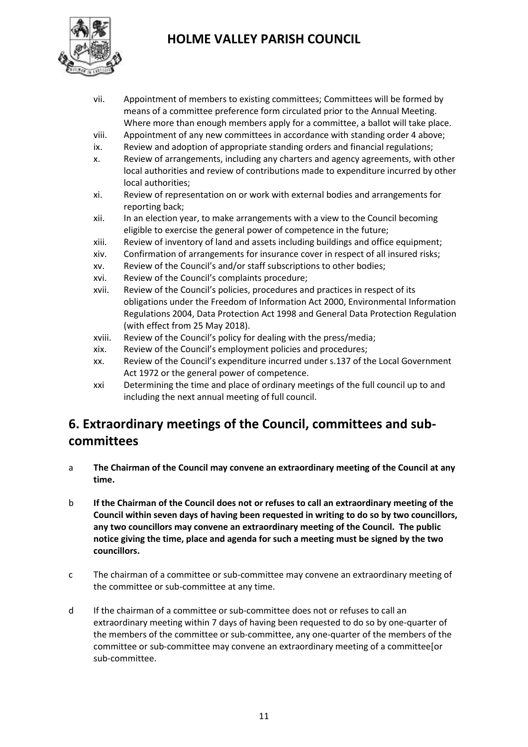

- vii. Appointment of members to existing committees; Committees will be formed by means of a committee preference form circulated prior to the Annual Meeting. Where more than enough members apply for a committee, a ballot will take place.
- viii. Appointment of any new committees in accordance with standing order 4 above;
- ix. Review and adoption of appropriate standing orders and financial regulations;
- x. Review of arrangements, including any charters and agency agreements, with other local authorities and review of contributions made to expenditure incurred by other local authorities;
- xi. Review of representation on or work with external bodies and arrangements for reporting back;
- xii. In an election year, to make arrangements with a view to the Council becoming eligible to exercise the general power of competence in the future;
- xiii. Review of inventory of land and assets including buildings and office equipment;
- xiv. Confirmation of arrangements for insurance cover in respect of all insured risks;
- xv. Review of the Council's and/or staff subscriptions to other bodies;
- xvi. Review of the Council's complaints procedure;
- xvii. Review of the Council's policies, procedures and practices in respect of its obligations under the Freedom of Information Act 2000, Environmental Information Regulations 2004, Data Protection Act 1998 and General Data Protection Regulation (with effect from 25 May 2018).
- xviii. Review of the Council's policy for dealing with the press/media;
- xix. Review of the Council's employment policies and procedures;
- xx. Review of the Council's expenditure incurred under s.137 of the Local Government Act 1972 or the general power of competence.
- xxi Determining the time and place of ordinary meetings of the full council up to and including the next annual meeting of full council.

#### **6. Extraordinary meetings of the Council, committees and subcommittees**

- a **The Chairman of the Council may convene an extraordinary meeting of the Council at any time.**
- b **If the Chairman of the Council does not or refuses to call an extraordinary meeting of the Council within seven days of having been requested in writing to do so by two councillors, any two councillors may convene an extraordinary meeting of the Council. The public notice giving the time, place and agenda for such a meeting must be signed by the two councillors.**
- c The chairman of a committee or sub-committee may convene an extraordinary meeting of the committee or sub-committee at any time.
- d If the chairman of a committee or sub-committee does not or refuses to call an extraordinary meeting within 7 days of having been requested to do so by one-quarter of the members of the committee or sub-committee, any one-quarter of the members of the committee or sub-committee may convene an extraordinary meeting of a committee[or sub-committee.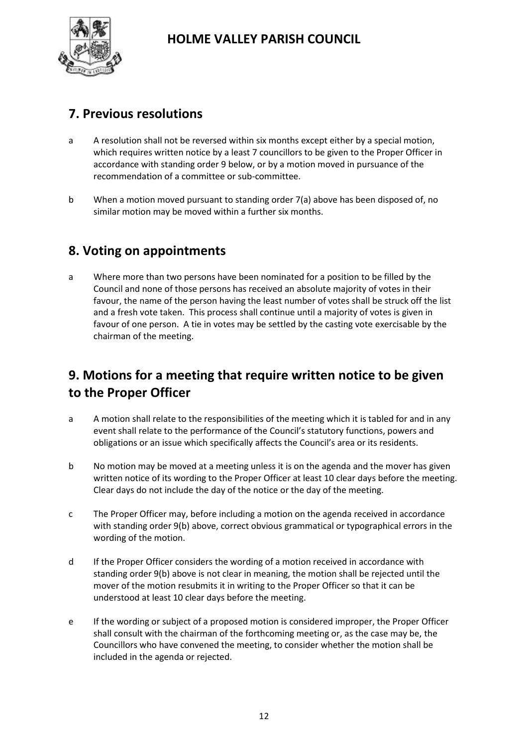

#### **7. Previous resolutions**

- a A resolution shall not be reversed within six months except either by a special motion, which requires written notice by a least 7 councillors to be given to the Proper Officer in accordance with standing order 9 below, or by a motion moved in pursuance of the recommendation of a committee or sub-committee.
- b When a motion moved pursuant to standing order 7(a) above has been disposed of, no similar motion may be moved within a further six months.

#### **8. Voting on appointments**

a Where more than two persons have been nominated for a position to be filled by the Council and none of those persons has received an absolute majority of votes in their favour, the name of the person having the least number of votes shall be struck off the list and a fresh vote taken. This process shall continue until a majority of votes is given in favour of one person. A tie in votes may be settled by the casting vote exercisable by the chairman of the meeting.

## **9. Motions for a meeting that require written notice to be given to the Proper Officer**

- a A motion shall relate to the responsibilities of the meeting which it is tabled for and in any event shall relate to the performance of the Council's statutory functions, powers and obligations or an issue which specifically affects the Council's area or its residents.
- b No motion may be moved at a meeting unless it is on the agenda and the mover has given written notice of its wording to the Proper Officer at least 10 clear days before the meeting. Clear days do not include the day of the notice or the day of the meeting.
- c The Proper Officer may, before including a motion on the agenda received in accordance with standing order 9(b) above, correct obvious grammatical or typographical errors in the wording of the motion.
- d If the Proper Officer considers the wording of a motion received in accordance with standing order 9(b) above is not clear in meaning, the motion shall be rejected until the mover of the motion resubmits it in writing to the Proper Officer so that it can be understood at least 10 clear days before the meeting.
- e If the wording or subject of a proposed motion is considered improper, the Proper Officer shall consult with the chairman of the forthcoming meeting or, as the case may be, the Councillors who have convened the meeting, to consider whether the motion shall be included in the agenda or rejected.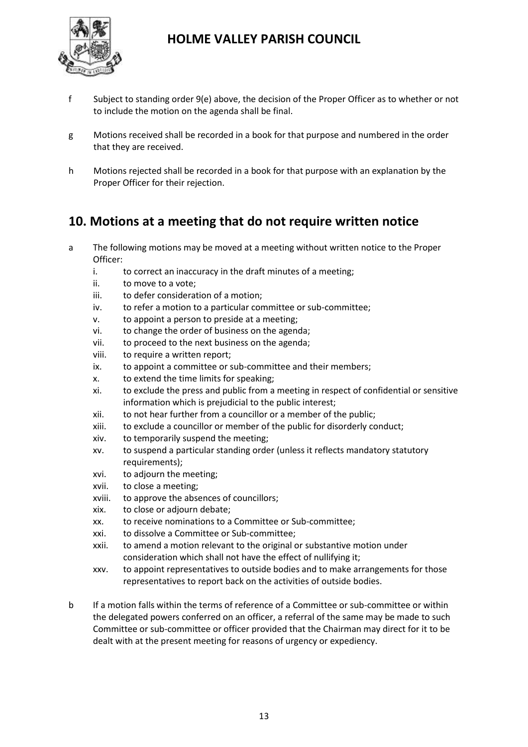

- f Subject to standing order 9(e) above, the decision of the Proper Officer as to whether or not to include the motion on the agenda shall be final.
- g Motions received shall be recorded in a book for that purpose and numbered in the order that they are received.
- h Motions rejected shall be recorded in a book for that purpose with an explanation by the Proper Officer for their rejection.

#### **10. Motions at a meeting that do not require written notice**

- a The following motions may be moved at a meeting without written notice to the Proper Officer:
	- i. to correct an inaccuracy in the draft minutes of a meeting;
	- ii. to move to a vote;
	- iii. to defer consideration of a motion;
	- iv. to refer a motion to a particular committee or sub-committee;
	- v. to appoint a person to preside at a meeting;
	- vi. to change the order of business on the agenda;
	- vii. to proceed to the next business on the agenda;
	- viii. to require a written report;
	- ix. to appoint a committee or sub-committee and their members;
	- x. to extend the time limits for speaking;
	- xi. to exclude the press and public from a meeting in respect of confidential or sensitive information which is prejudicial to the public interest;
	- xii. to not hear further from a councillor or a member of the public;
	- xiii. to exclude a councillor or member of the public for disorderly conduct;
	- xiv. to temporarily suspend the meeting;
	- xv. to suspend a particular standing order (unless it reflects mandatory statutory requirements);
	- xvi. to adjourn the meeting;
	- xvii. to close a meeting;
	- xviii. to approve the absences of councillors;
	- xix. to close or adjourn debate;
	- xx. to receive nominations to a Committee or Sub-committee;
	- xxi. to dissolve a Committee or Sub-committee;
	- xxii. to amend a motion relevant to the original or substantive motion under consideration which shall not have the effect of nullifying it;
	- xxv. to appoint representatives to outside bodies and to make arrangements for those representatives to report back on the activities of outside bodies.
- b If a motion falls within the terms of reference of a Committee or sub-committee or within the delegated powers conferred on an officer, a referral of the same may be made to such Committee or sub-committee or officer provided that the Chairman may direct for it to be dealt with at the present meeting for reasons of urgency or expediency.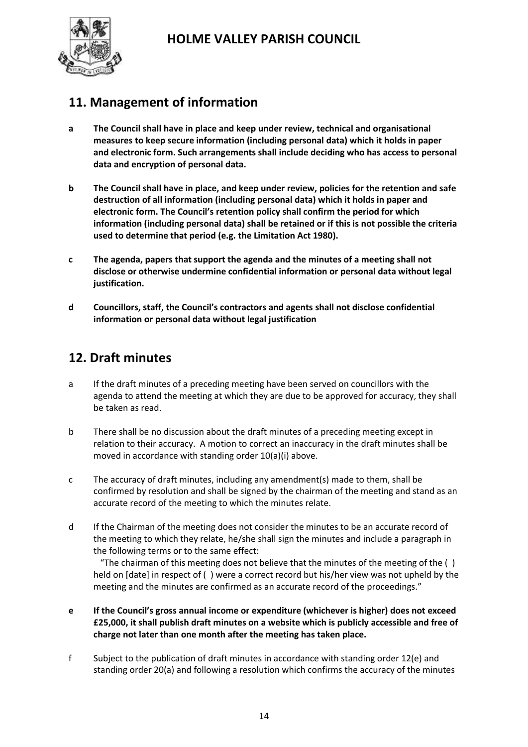

#### **11. Management of information**

- **a The Council shall have in place and keep under review, technical and organisational measures to keep secure information (including personal data) which it holds in paper and electronic form. Such arrangements shall include deciding who has access to personal data and encryption of personal data.**
- **b The Council shall have in place, and keep under review, policies for the retention and safe destruction of all information (including personal data) which it holds in paper and electronic form. The Council's retention policy shall confirm the period for which information (including personal data) shall be retained or if this is not possible the criteria used to determine that period (e.g. the Limitation Act 1980).**
- **c The agenda, papers that support the agenda and the minutes of a meeting shall not disclose or otherwise undermine confidential information or personal data without legal justification.**
- **d Councillors, staff, the Council's contractors and agents shall not disclose confidential information or personal data without legal justification**

#### **12. Draft minutes**

- a If the draft minutes of a preceding meeting have been served on councillors with the agenda to attend the meeting at which they are due to be approved for accuracy, they shall be taken as read.
- b There shall be no discussion about the draft minutes of a preceding meeting except in relation to their accuracy. A motion to correct an inaccuracy in the draft minutes shall be moved in accordance with standing order 10(a)(i) above.
- c The accuracy of draft minutes, including any amendment(s) made to them, shall be confirmed by resolution and shall be signed by the chairman of the meeting and stand as an accurate record of the meeting to which the minutes relate.
- d If the Chairman of the meeting does not consider the minutes to be an accurate record of the meeting to which they relate, he/she shall sign the minutes and include a paragraph in the following terms or to the same effect:

"The chairman of this meeting does not believe that the minutes of the meeting of the  $( )$ held on [date] in respect of ( ) were a correct record but his/her view was not upheld by the meeting and the minutes are confirmed as an accurate record of the proceedings."

- **e If the Council's gross annual income or expenditure (whichever is higher) does not exceed £25,000, it shall publish draft minutes on a website which is publicly accessible and free of charge not later than one month after the meeting has taken place.**
- f Subject to the publication of draft minutes in accordance with standing order 12(e) and standing order 20(a) and following a resolution which confirms the accuracy of the minutes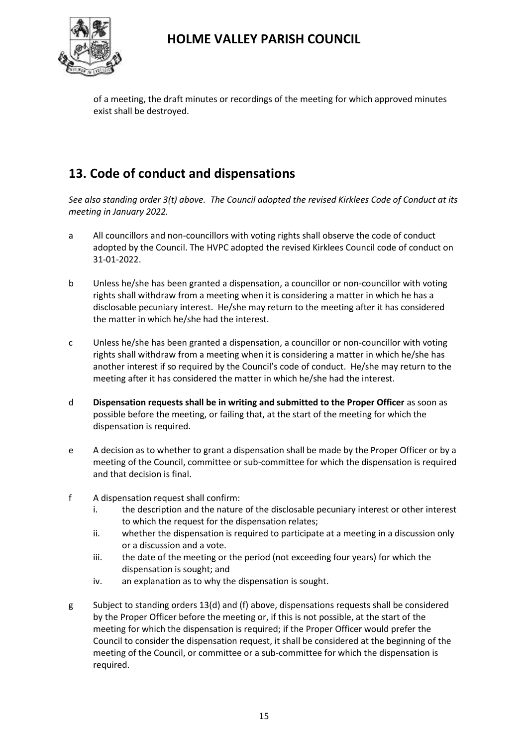

of a meeting, the draft minutes or recordings of the meeting for which approved minutes exist shall be destroyed.

## **13. Code of conduct and dispensations**

*See also standing order 3(t) above. The Council adopted the revised Kirklees Code of Conduct at its meeting in January 2022.*

- a All councillors and non-councillors with voting rights shall observe the code of conduct adopted by the Council. The HVPC adopted the revised Kirklees Council code of conduct on 31-01-2022.
- b Unless he/she has been granted a dispensation, a councillor or non-councillor with voting rights shall withdraw from a meeting when it is considering a matter in which he has a disclosable pecuniary interest. He/she may return to the meeting after it has considered the matter in which he/she had the interest.
- c Unless he/she has been granted a dispensation, a councillor or non-councillor with voting rights shall withdraw from a meeting when it is considering a matter in which he/she has another interest if so required by the Council's code of conduct. He/she may return to the meeting after it has considered the matter in which he/she had the interest.
- d **Dispensation requests shall be in writing and submitted to the Proper Officer** as soon as possible before the meeting, or failing that, at the start of the meeting for which the dispensation is required.
- e A decision as to whether to grant a dispensation shall be made by the Proper Officer or by a meeting of the Council, committee or sub-committee for which the dispensation is required and that decision is final.
- f A dispensation request shall confirm:
	- i. the description and the nature of the disclosable pecuniary interest or other interest to which the request for the dispensation relates;
	- ii. whether the dispensation is required to participate at a meeting in a discussion only or a discussion and a vote.
	- iii. the date of the meeting or the period (not exceeding four years) for which the dispensation is sought; and
	- iv. an explanation as to why the dispensation is sought.
- g Subject to standing orders 13(d) and (f) above, dispensations requests shall be considered by the Proper Officer before the meeting or, if this is not possible, at the start of the meeting for which the dispensation is required; if the Proper Officer would prefer the Council to consider the dispensation request, it shall be considered at the beginning of the meeting of the Council, or committee or a sub-committee for which the dispensation is required.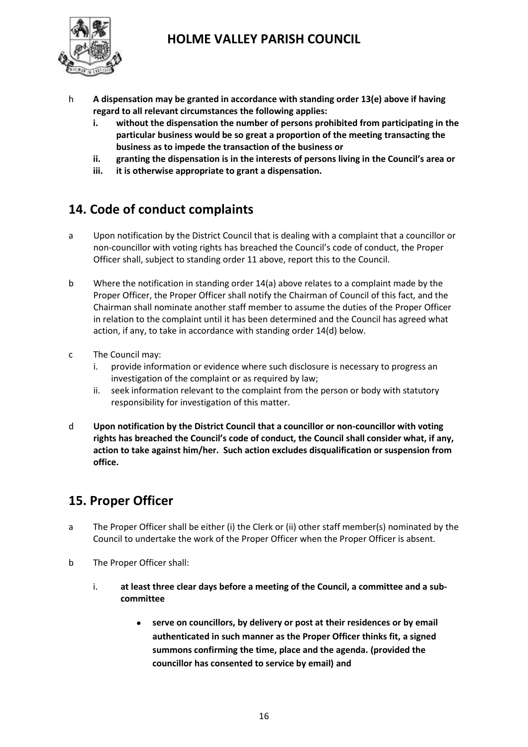



- h **A dispensation may be granted in accordance with standing order 13(e) above if having regard to all relevant circumstances the following applies:**
	- **i. without the dispensation the number of persons prohibited from participating in the particular business would be so great a proportion of the meeting transacting the business as to impede the transaction of the business or**
	- **ii. granting the dispensation is in the interests of persons living in the Council's area or**
	- **iii. it is otherwise appropriate to grant a dispensation.**

#### **14. Code of conduct complaints**

- a Upon notification by the District Council that is dealing with a complaint that a councillor or non-councillor with voting rights has breached the Council's code of conduct, the Proper Officer shall, subject to standing order 11 above, report this to the Council.
- b Where the notification in standing order 14(a) above relates to a complaint made by the Proper Officer, the Proper Officer shall notify the Chairman of Council of this fact, and the Chairman shall nominate another staff member to assume the duties of the Proper Officer in relation to the complaint until it has been determined and the Council has agreed what action, if any, to take in accordance with standing order 14(d) below.
- c The Council may:
	- i. provide information or evidence where such disclosure is necessary to progress an investigation of the complaint or as required by law;
	- ii. seek information relevant to the complaint from the person or body with statutory responsibility for investigation of this matter.
- d **Upon notification by the District Council that a councillor or non-councillor with voting rights has breached the Council's code of conduct, the Council shall consider what, if any, action to take against him/her. Such action excludes disqualification or suspension from office.**

#### **15. Proper Officer**

- a The Proper Officer shall be either (i) the Clerk or (ii) other staff member(s) nominated by the Council to undertake the work of the Proper Officer when the Proper Officer is absent.
- b The Proper Officer shall:
	- i. **at least three clear days before a meeting of the Council, a committee and a subcommittee**
		- **serve on councillors, by delivery or post at their residences or by email authenticated in such manner as the Proper Officer thinks fit, a signed summons confirming the time, place and the agenda. (provided the councillor has consented to service by email) and**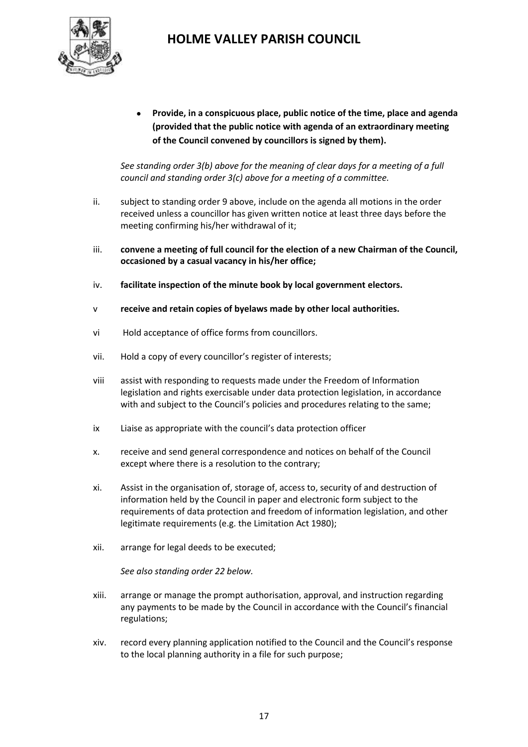

• **Provide, in a conspicuous place, public notice of the time, place and agenda (provided that the public notice with agenda of an extraordinary meeting of the Council convened by councillors is signed by them).**

*See standing order 3(b) above for the meaning of clear days for a meeting of a full council and standing order 3(c) above for a meeting of a committee.*

- ii. subject to standing order 9 above, include on the agenda all motions in the order received unless a councillor has given written notice at least three days before the meeting confirming his/her withdrawal of it;
- iii. **convene a meeting of full council for the election of a new Chairman of the Council, occasioned by a casual vacancy in his/her office;**
- iv. **facilitate inspection of the minute book by local government electors.**
- v **receive and retain copies of byelaws made by other local authorities.**
- vi Hold acceptance of office forms from councillors.
- vii. Hold a copy of every councillor's register of interests;
- viii assist with responding to requests made under the Freedom of Information legislation and rights exercisable under data protection legislation, in accordance with and subject to the Council's policies and procedures relating to the same;
- ix Liaise as appropriate with the council's data protection officer
- x. receive and send general correspondence and notices on behalf of the Council except where there is a resolution to the contrary;
- xi. Assist in the organisation of, storage of, access to, security of and destruction of information held by the Council in paper and electronic form subject to the requirements of data protection and freedom of information legislation, and other legitimate requirements (e.g. the Limitation Act 1980);
- xii. arrange for legal deeds to be executed;

*See also standing order 22 below.*

- xiii. arrange or manage the prompt authorisation, approval, and instruction regarding any payments to be made by the Council in accordance with the Council's financial regulations;
- xiv. record every planning application notified to the Council and the Council's response to the local planning authority in a file for such purpose;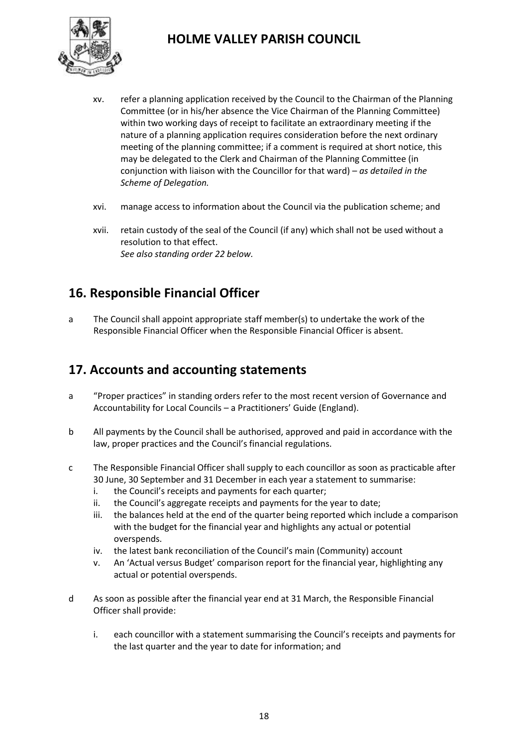

- xv. refer a planning application received by the Council to the Chairman of the Planning Committee (or in his/her absence the Vice Chairman of the Planning Committee) within two working days of receipt to facilitate an extraordinary meeting if the nature of a planning application requires consideration before the next ordinary meeting of the planning committee; if a comment is required at short notice, this may be delegated to the Clerk and Chairman of the Planning Committee (in conjunction with liaison with the Councillor for that ward) – *as detailed in the Scheme of Delegation.*
- xvi. manage access to information about the Council via the publication scheme; and
- xvii. retain custody of the seal of the Council (if any) which shall not be used without a resolution to that effect. *See also standing order 22 below.*

#### **16. Responsible Financial Officer**

a The Council shall appoint appropriate staff member(s) to undertake the work of the Responsible Financial Officer when the Responsible Financial Officer is absent.

#### **17. Accounts and accounting statements**

- a "Proper practices" in standing orders refer to the most recent version of Governance and Accountability for Local Councils – a Practitioners' Guide (England).
- b All payments by the Council shall be authorised, approved and paid in accordance with the law, proper practices and the Council's financial regulations.
- c The Responsible Financial Officer shall supply to each councillor as soon as practicable after 30 June, 30 September and 31 December in each year a statement to summarise:
	- i. the Council's receipts and payments for each quarter;
	- ii. the Council's aggregate receipts and payments for the year to date;
	- iii. the balances held at the end of the quarter being reported which include a comparison with the budget for the financial year and highlights any actual or potential overspends.
	- iv. the latest bank reconciliation of the Council's main (Community) account
	- v. An 'Actual versus Budget' comparison report for the financial year, highlighting any actual or potential overspends.
- d As soon as possible after the financial year end at 31 March, the Responsible Financial Officer shall provide:
	- i. each councillor with a statement summarising the Council's receipts and payments for the last quarter and the year to date for information; and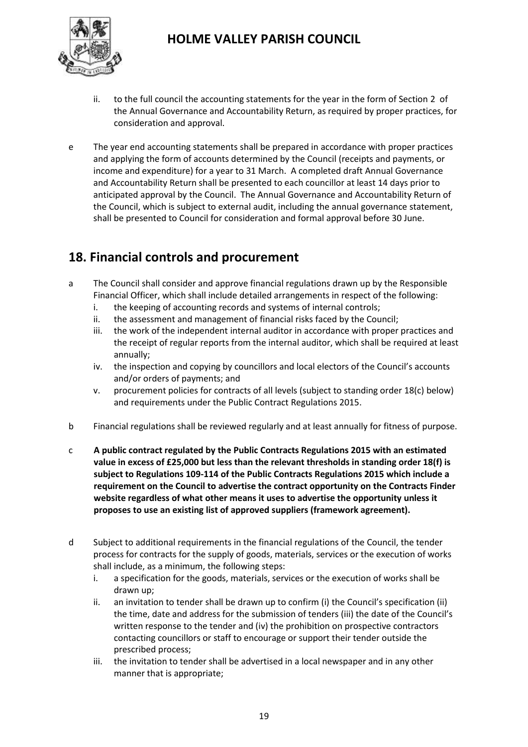

- ii. to the full council the accounting statements for the year in the form of Section 2 of the Annual Governance and Accountability Return, as required by proper practices, for consideration and approval.
- e The year end accounting statements shall be prepared in accordance with proper practices and applying the form of accounts determined by the Council (receipts and payments, or income and expenditure) for a year to 31 March. A completed draft Annual Governance and Accountability Return shall be presented to each councillor at least 14 days prior to anticipated approval by the Council. The Annual Governance and Accountability Return of the Council, which is subject to external audit, including the annual governance statement, shall be presented to Council for consideration and formal approval before 30 June.

#### **18. Financial controls and procurement**

- a The Council shall consider and approve financial regulations drawn up by the Responsible Financial Officer, which shall include detailed arrangements in respect of the following:
	- i. the keeping of accounting records and systems of internal controls;
	- ii. the assessment and management of financial risks faced by the Council;
	- iii. the work of the independent internal auditor in accordance with proper practices and the receipt of regular reports from the internal auditor, which shall be required at least annually;
	- iv. the inspection and copying by councillors and local electors of the Council's accounts and/or orders of payments; and
	- v. procurement policies for contracts of all levels (subject to standing order 18(c) below) and requirements under the Public Contract Regulations 2015.
- b Financial regulations shall be reviewed regularly and at least annually for fitness of purpose.
- c **A public contract regulated by the Public Contracts Regulations 2015 with an estimated value in excess of £25,000 but less than the relevant thresholds in standing order 18(f) is subject to Regulations 109-114 of the Public Contracts Regulations 2015 which include a requirement on the Council to advertise the contract opportunity on the Contracts Finder website regardless of what other means it uses to advertise the opportunity unless it proposes to use an existing list of approved suppliers (framework agreement).**
- d Subject to additional requirements in the financial regulations of the Council, the tender process for contracts for the supply of goods, materials, services or the execution of works shall include, as a minimum, the following steps:
	- i. a specification for the goods, materials, services or the execution of works shall be drawn up;
	- ii. an invitation to tender shall be drawn up to confirm (i) the Council's specification (ii) the time, date and address for the submission of tenders (iii) the date of the Council's written response to the tender and (iv) the prohibition on prospective contractors contacting councillors or staff to encourage or support their tender outside the prescribed process;
	- iii. the invitation to tender shall be advertised in a local newspaper and in any other manner that is appropriate;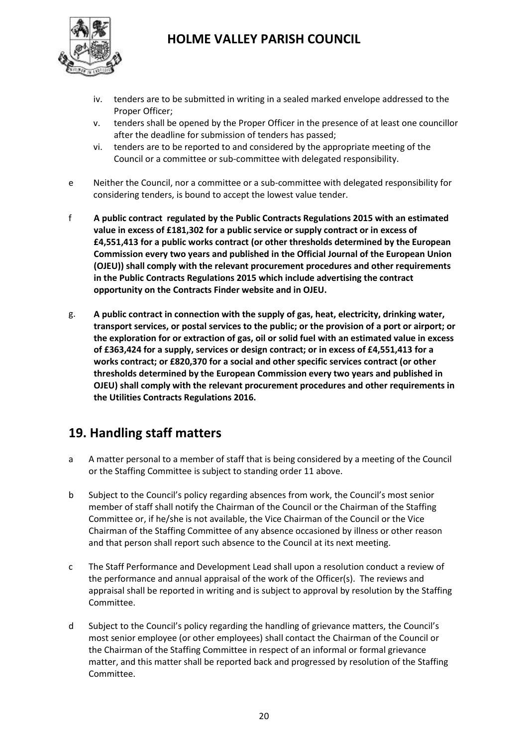

- iv. tenders are to be submitted in writing in a sealed marked envelope addressed to the Proper Officer;
- v. tenders shall be opened by the Proper Officer in the presence of at least one councillor after the deadline for submission of tenders has passed;
- vi. tenders are to be reported to and considered by the appropriate meeting of the Council or a committee or sub-committee with delegated responsibility.
- e Neither the Council, nor a committee or a sub-committee with delegated responsibility for considering tenders, is bound to accept the lowest value tender.
- f **A public contract regulated by the Public Contracts Regulations 2015 with an estimated value in excess of £181,302 for a public service or supply contract or in excess of £4,551,413 for a public works contract (or other thresholds determined by the European Commission every two years and published in the Official Journal of the European Union (OJEU)) shall comply with the relevant procurement procedures and other requirements in the Public Contracts Regulations 2015 which include advertising the contract opportunity on the Contracts Finder website and in OJEU.**
- g. **A public contract in connection with the supply of gas, heat, electricity, drinking water, transport services, or postal services to the public; or the provision of a port or airport; or the exploration for or extraction of gas, oil or solid fuel with an estimated value in excess of £363,424 for a supply, services or design contract; or in excess of £4,551,413 for a works contract; or £820,370 for a social and other specific services contract (or other thresholds determined by the European Commission every two years and published in OJEU) shall comply with the relevant procurement procedures and other requirements in the Utilities Contracts Regulations 2016.**

#### **19. Handling staff matters**

- a A matter personal to a member of staff that is being considered by a meeting of the Council or the Staffing Committee is subject to standing order 11 above.
- b Subject to the Council's policy regarding absences from work, the Council's most senior member of staff shall notify the Chairman of the Council or the Chairman of the Staffing Committee or, if he/she is not available, the Vice Chairman of the Council or the Vice Chairman of the Staffing Committee of any absence occasioned by illness or other reason and that person shall report such absence to the Council at its next meeting.
- c The Staff Performance and Development Lead shall upon a resolution conduct a review of the performance and annual appraisal of the work of the Officer(s). The reviews and appraisal shall be reported in writing and is subject to approval by resolution by the Staffing Committee.
- d Subject to the Council's policy regarding the handling of grievance matters, the Council's most senior employee (or other employees) shall contact the Chairman of the Council or the Chairman of the Staffing Committee in respect of an informal or formal grievance matter, and this matter shall be reported back and progressed by resolution of the Staffing Committee.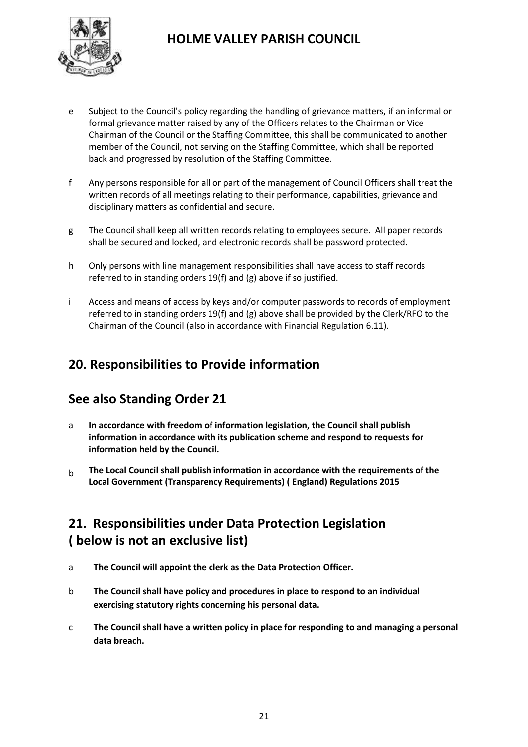

- e Subject to the Council's policy regarding the handling of grievance matters, if an informal or formal grievance matter raised by any of the Officers relates to the Chairman or Vice Chairman of the Council or the Staffing Committee, this shall be communicated to another member of the Council, not serving on the Staffing Committee, which shall be reported back and progressed by resolution of the Staffing Committee.
- f Any persons responsible for all or part of the management of Council Officers shall treat the written records of all meetings relating to their performance, capabilities, grievance and disciplinary matters as confidential and secure.
- g The Council shall keep all written records relating to employees secure. All paper records shall be secured and locked, and electronic records shall be password protected.
- h Only persons with line management responsibilities shall have access to staff records referred to in standing orders 19(f) and (g) above if so justified.
- i Access and means of access by keys and/or computer passwords to records of employment referred to in standing orders 19(f) and (g) above shall be provided by the Clerk/RFO to the Chairman of the Council (also in accordance with Financial Regulation 6.11).

#### **20. Responsibilities to Provide information**

#### **See also Standing Order 21**

- a **In accordance with freedom of information legislation, the Council shall publish information in accordance with its publication scheme and respond to requests for information held by the Council.**
- b **The Local Council shall publish information in accordance with the requirements of the Local Government (Transparency Requirements) ( England) Regulations 2015**

#### **21. Responsibilities under Data Protection Legislation ( below is not an exclusive list)**

- a **The Council will appoint the clerk as the Data Protection Officer.**
- b **The Council shall have policy and procedures in place to respond to an individual exercising statutory rights concerning his personal data.**
- c **The Council shall have a written policy in place for responding to and managing a personal data breach.**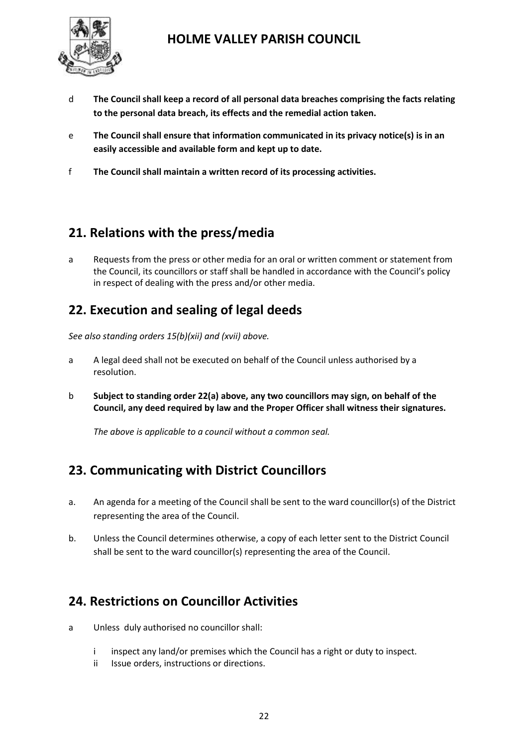

- d **The Council shall keep a record of all personal data breaches comprising the facts relating to the personal data breach, its effects and the remedial action taken.**
- e **The Council shall ensure that information communicated in its privacy notice(s) is in an easily accessible and available form and kept up to date.**
- f **The Council shall maintain a written record of its processing activities.**

#### **21. Relations with the press/media**

a Requests from the press or other media for an oral or written comment or statement from the Council, its councillors or staff shall be handled in accordance with the Council's policy in respect of dealing with the press and/or other media.

#### **22. Execution and sealing of legal deeds**

*See also standing orders 15(b)(xii) and (xvii) above.*

- a A legal deed shall not be executed on behalf of the Council unless authorised by a resolution.
- b **Subject to standing order 22(a) above, any two councillors may sign, on behalf of the Council, any deed required by law and the Proper Officer shall witness their signatures.**

*The above is applicable to a council without a common seal.*

#### **23. Communicating with District Councillors**

- a. An agenda for a meeting of the Council shall be sent to the ward councillor(s) of the District representing the area of the Council.
- b. Unless the Council determines otherwise, a copy of each letter sent to the District Council shall be sent to the ward councillor(s) representing the area of the Council.

#### **24. Restrictions on Councillor Activities**

- a Unless duly authorised no councillor shall:
	- i inspect any land/or premises which the Council has a right or duty to inspect.
	- ii Issue orders, instructions or directions.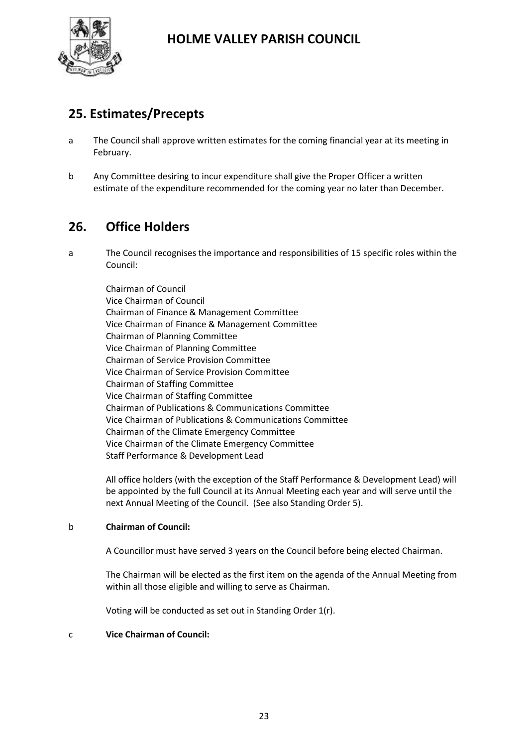

#### **25. Estimates/Precepts**

- a The Council shall approve written estimates for the coming financial year at its meeting in February.
- b Any Committee desiring to incur expenditure shall give the Proper Officer a written estimate of the expenditure recommended for the coming year no later than December.

#### **26. Office Holders**

a The Council recognises the importance and responsibilities of 15 specific roles within the Council:

Chairman of Council Vice Chairman of Council Chairman of Finance & Management Committee Vice Chairman of Finance & Management Committee Chairman of Planning Committee Vice Chairman of Planning Committee Chairman of Service Provision Committee Vice Chairman of Service Provision Committee Chairman of Staffing Committee Vice Chairman of Staffing Committee Chairman of Publications & Communications Committee Vice Chairman of Publications & Communications Committee Chairman of the Climate Emergency Committee Vice Chairman of the Climate Emergency Committee Staff Performance & Development Lead

All office holders (with the exception of the Staff Performance & Development Lead) will be appointed by the full Council at its Annual Meeting each year and will serve until the next Annual Meeting of the Council. (See also Standing Order 5).

#### b **Chairman of Council:**

A Councillor must have served 3 years on the Council before being elected Chairman.

The Chairman will be elected as the first item on the agenda of the Annual Meeting from within all those eligible and willing to serve as Chairman.

Voting will be conducted as set out in Standing Order 1(r).

#### c **Vice Chairman of Council:**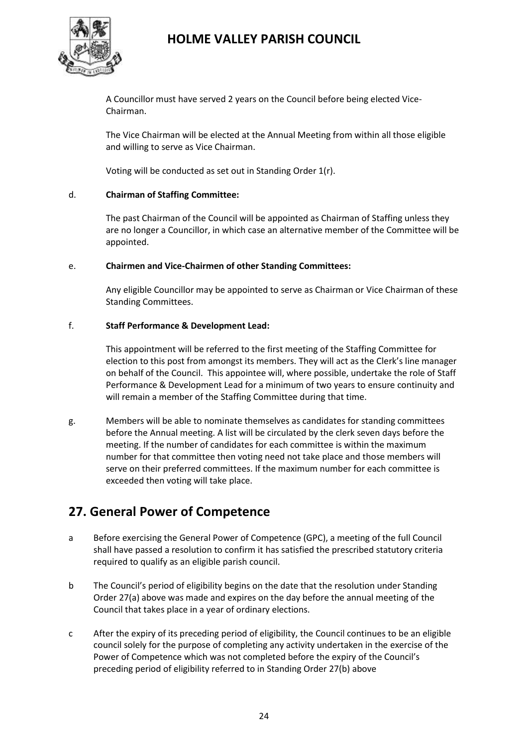

A Councillor must have served 2 years on the Council before being elected Vice-Chairman.

The Vice Chairman will be elected at the Annual Meeting from within all those eligible and willing to serve as Vice Chairman.

Voting will be conducted as set out in Standing Order 1(r).

#### d. **Chairman of Staffing Committee:**

The past Chairman of the Council will be appointed as Chairman of Staffing unless they are no longer a Councillor, in which case an alternative member of the Committee will be appointed.

#### e. **Chairmen and Vice-Chairmen of other Standing Committees:**

Any eligible Councillor may be appointed to serve as Chairman or Vice Chairman of these Standing Committees.

#### f. **Staff Performance & Development Lead:**

This appointment will be referred to the first meeting of the Staffing Committee for election to this post from amongst its members. They will act as the Clerk's line manager on behalf of the Council. This appointee will, where possible, undertake the role of Staff Performance & Development Lead for a minimum of two years to ensure continuity and will remain a member of the Staffing Committee during that time.

g. Members will be able to nominate themselves as candidates for standing committees before the Annual meeting. A list will be circulated by the clerk seven days before the meeting. If the number of candidates for each committee is within the maximum number for that committee then voting need not take place and those members will serve on their preferred committees. If the maximum number for each committee is exceeded then voting will take place.

#### **27. General Power of Competence**

- a Before exercising the General Power of Competence (GPC), a meeting of the full Council shall have passed a resolution to confirm it has satisfied the prescribed statutory criteria required to qualify as an eligible parish council.
- b The Council's period of eligibility begins on the date that the resolution under Standing Order 27(a) above was made and expires on the day before the annual meeting of the Council that takes place in a year of ordinary elections.
- c After the expiry of its preceding period of eligibility, the Council continues to be an eligible council solely for the purpose of completing any activity undertaken in the exercise of the Power of Competence which was not completed before the expiry of the Council's preceding period of eligibility referred to in Standing Order 27(b) above